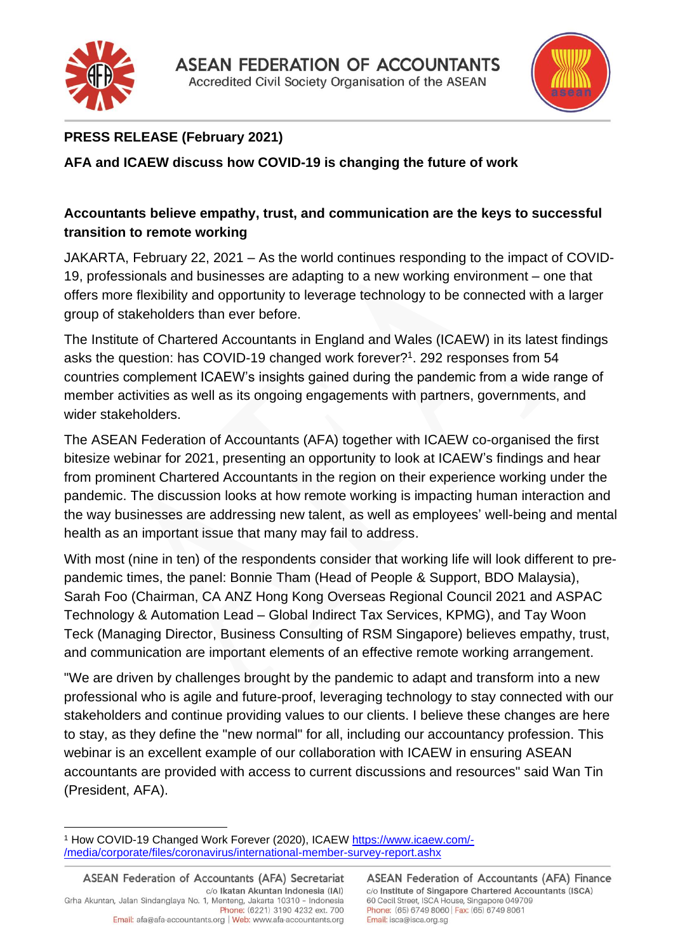



## **PRESS RELEASE (February 2021)**

**AFA and ICAEW discuss how COVID-19 is changing the future of work**

## **Accountants believe empathy, trust, and communication are the keys to successful transition to remote working**

JAKARTA, February 22, 2021 – As the world continues responding to the impact of COVID-19, professionals and businesses are adapting to a new working environment – one that offers more flexibility and opportunity to leverage technology to be connected with a larger group of stakeholders than ever before.

The Institute of Chartered Accountants in England and Wales (ICAEW) in its latest findings asks the question: has COVID-19 changed work forever?<sup>1</sup>. 292 responses from 54 countries complement ICAEW's insights gained during the pandemic from a wide range of member activities as well as its ongoing engagements with partners, governments, and wider stakeholders.

The ASEAN Federation of Accountants (AFA) together with ICAEW co-organised the first bitesize webinar for 2021, presenting an opportunity to look at ICAEW's findings and hear from prominent Chartered Accountants in the region on their experience working under the pandemic. The discussion looks at how remote working is impacting human interaction and the way businesses are addressing new talent, as well as employees' well-being and mental health as an important issue that many may fail to address.

With most (nine in ten) of the respondents consider that working life will look different to prepandemic times, the panel: Bonnie Tham (Head of People & Support, BDO Malaysia), Sarah Foo (Chairman, CA ANZ Hong Kong Overseas Regional Council 2021 and ASPAC Technology & Automation Lead – Global Indirect Tax Services, KPMG), and Tay Woon Teck (Managing Director, Business Consulting of RSM Singapore) believes empathy, trust, and communication are important elements of an effective remote working arrangement.

"We are driven by challenges brought by the pandemic to adapt and transform into a new professional who is agile and future-proof, leveraging technology to stay connected with our stakeholders and continue providing values to our clients. I believe these changes are here to stay, as they define the "new normal" for all, including our accountancy profession. This webinar is an excellent example of our collaboration with ICAEW in ensuring ASEAN accountants are provided with access to current discussions and resources" said Wan Tin (President, AFA).

<sup>1</sup> How COVID-19 Changed Work Forever (2020), ICAEW [https://www.icaew.com/-](https://www.icaew.com/-/media/corporate/files/coronavirus/international-member-survey-report.ashx) [/media/corporate/files/coronavirus/international-member-survey-report.ashx](https://www.icaew.com/-/media/corporate/files/coronavirus/international-member-survey-report.ashx)